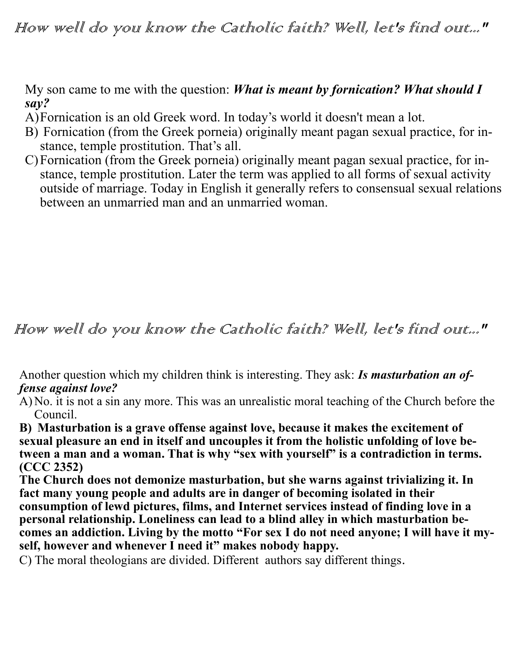How well do you know the Catholic faith? Well, let's find out..."

My son came to me with the question: *What is meant by fornication? What should I say?*

- A)Fornication is an old Greek word. In today's world it doesn't mean a lot.
- B) Fornication (from the Greek porneia) originally meant pagan sexual practice, for instance, temple prostitution. That's all.
- C)Fornication (from the Greek porneia) originally meant pagan sexual practice, for instance, temple prostitution. Later the term was applied to all forms of sexual activity outside of marriage. Today in English it generally refers to consensual sexual relations between an unmarried man and an unmarried woman.

How well do you know the Catholic faith? Well, let's find out..."

Another question which my children think is interesting. They ask: *Is masturbation an offense against love?*

A) No. it is not a sin any more. This was an unrealistic moral teaching of the Church before the Council.

**B) Masturbation is a grave offense against love, because it makes the excitement of sexual pleasure an end in itself and uncouples it from the holistic unfolding of love be**tween a man and a woman. That is why "sex with yourself" is a contradiction in terms. **(CCC 2352)**

**The Church does not demonize masturbation, but she warns against trivializing it. In fact many young people and adults are in danger of becoming isolated in their consumption of lewd pictures, films, and Internet services instead of finding love in a personal relationship. Loneliness can lead to a blind alley in which masturbation becomes an addiction. Living by the motto "For sex I do not need anyone; I will have it myself, however and whenever I need it" makes nobody happy.**

C) The moral theologians are divided. Different authors say different things.